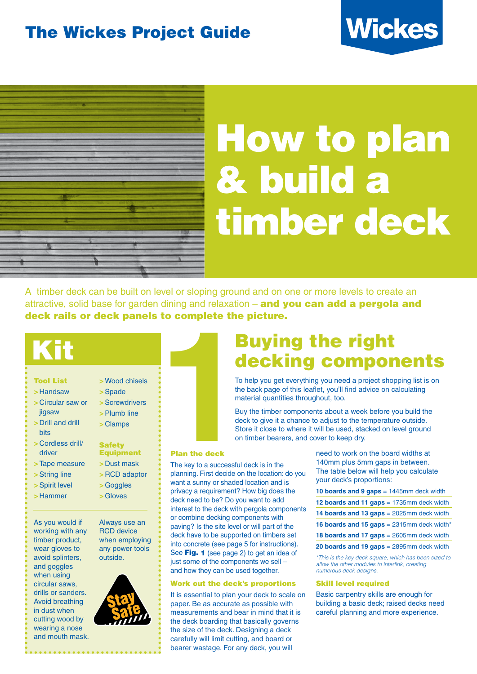### The Wickes Project Guide





## How to plan & build a timber deck

A timber deck can be built on level or sloping ground and on one or more levels to create an attractive, solid base for garden dining and relaxation – and you can add a pergola and deck rails or deck panels to complete the picture.



- >Handsaw
- > Circular saw or
- jigsaw
- > Drill and drill hite
- > Cordless drill/ driver
- >Tape measure
- >String line
- >Spirit level
- >Hammer
- 

As you would if working with any timber product, wear gloves to avoid splinters, and goggles when using circular saws, drills or sanders. Avoid breathing in dust when cutting wood by wearing a nose and mouth mask.

| >Spade                            |
|-----------------------------------|
| >Screwdrivers                     |
| >Plumb line                       |
| > Clamps                          |
| <b>Safety</b><br><b>Equipment</b> |
| $\sim$ Duct mook                  |

>Wood chisels

- >Dust mask
- >RCD adaptor
- >Goggles
- >Gloves

Always use an RCD device when employing any power tools outside.



Buying the right decking components

To help you get everything you need a project shopping list is on the back page of this leaflet, you'll find advice on calculating material quantities throughout, too.

Buy the timber components about a week before you build the deck to give it a chance to adjust to the temperature outside. Store it close to where it will be used, stacked on level ground on timber bearers, and cover to keep dry.

#### Plan the deck

**1** The key to a successful deck is in the planning. First decide on the location: do you want a sunny or shaded location and is privacy a requirement? How big does the deck need to be? Do you want to add interest to the deck with pergola components or combine decking components with paving? Is the site level or will part of the deck have to be supported on timbers set into concrete (see page 5 for instructions). See Fig. 1 (see page 2) to get an idea of just some of the components we sell and how they can be used together.

#### Work out the deck's proportions

It is essential to plan your deck to scale on paper. Be as accurate as possible with measurements and bear in mind that it is the deck boarding that basically governs the size of the deck. Designing a deck carefully will limit cutting, and board or bearer wastage. For any deck, you will

need to work on the board widths at 140mm plus 5mm gaps in between. The table below will help you calculate your deck's proportions:

|  |  |  |  |  |  | 10 boards and 9 gaps $= 1445$ mm deck width |
|--|--|--|--|--|--|---------------------------------------------|
|--|--|--|--|--|--|---------------------------------------------|

- **12 boards and 11 gaps** = 1735mm deck width
- **14 boards and 13 gaps** = 2025mm deck width
- **16 boards and 15 gaps** = 2315mm deck width\*
- **18 boards and 17 gaps** = 2605mm deck width
- **20 boards and 19 gaps** = 2895mm deck width

\*This is the key deck square, which has been sized to allow the other modules to interlink, creating numerous deck designs.

#### Skill level required

Basic carpentry skills are enough for building a basic deck; raised decks need careful planning and more experience.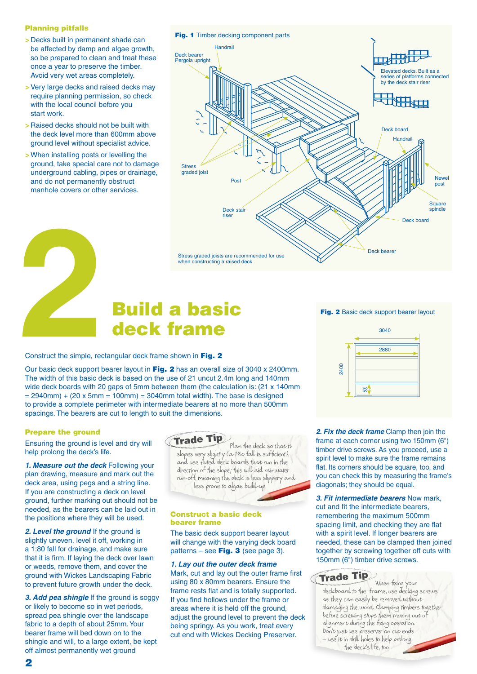#### Planning pitfalls

- > Decks built in permanent shade can be affected by damp and algae growth, so be prepared to clean and treat these once a year to preserve the timber. Avoid very wet areas completely.
- > Very large decks and raised decks may require planning permission, so check with the local council before you start work.
- > Raised decks should not be built with the deck level more than 600mm above ground level without specialist advice.
- > When installing posts or levelling the ground, take special care not to damage underground cabling, pipes or drainage, and do not permanently obstruct manhole covers or other services.



# First graded joists are recember on structing a raised<br>when constructing a raised<br>construct the simple, rectangular deck frame shown in Fig. 2 deck frame

Construct the simple, rectangular deck frame shown in Fig. 2

Our basic deck support bearer layout in Fig. 2 has an overall size of 3040 x 2400mm. The width of this basic deck is based on the use of 21 uncut 2.4m long and 140mm wide deck boards with 20 gaps of 5mm between them (the calculation is: (21 x 140mm)  $= 2940$ mm) + (20 x 5mm = 100mm) = 3040mm total width). The base is designed to provide a complete perimeter with intermediate bearers at no more than 500mm spacings. The bearers are cut to length to suit the dimensions.

#### Prepare the ground

Ensuring the ground is level and dry will help prolong the deck's life.

**1. Measure out the deck** Following your plan drawing, measure and mark out the deck area, using pegs and a string line. If you are constructing a deck on level ground, further marking out should not be needed, as the bearers can be laid out in the positions where they will be used.

**2. Level the ground** If the ground is slightly uneven, level it off, working in a 1:80 fall for drainage, and make sure that it is firm. If laying the deck over lawn or weeds, remove them, and cover the ground with Wickes Landscaping Fabric to prevent future growth under the deck.

**3. Add pea shingle** If the ground is soggy or likely to become so in wet periods, spread pea shingle over the landscape fabric to a depth of about 25mm. Your bearer frame will bed down on to the shingle and will, to a large extent, be kept off almost permanently wet ground



Plan the deck so that it slopes very slightly (a 1:80 fall is sufficient), and use fluted deck boards that run in the direction of the slope; this will aid rainwater run-off, meaning the deck is less slippery and less prone to algae build-up

#### Construct a basic deck bearer frame

The basic deck support bearer layout will change with the varying deck board patterns – see **Fig. 3** (see page 3).

**1. Lay out the outer deck frame**  Mark, cut and lay out the outer frame first using 80 x 80mm bearers. Ensure the frame rests flat and is totally supported. If you find hollows under the frame or areas where it is held off the ground, adjust the ground level to prevent the deck being springy. As you work, treat every cut end with Wickes Decking Preserver.

Fig. 2 Basic deck support bearer layout



**2. Fix the deck frame** Clamp then join the frame at each corner using two 150mm (6") timber drive screws. As you proceed, use a spirit level to make sure the frame remains flat. Its corners should be square, too, and you can check this by measuring the frame's diagonals; they should be equal.

**3. Fit intermediate bearers** Now mark, cut and fit the intermediate bearers, remembering the maximum 500mm spacing limit, and checking they are flat with a spirit level. If longer bearers are needed, these can be clamped then joined together by screwing together off cuts with 150mm (6") timber drive screws.

#### Trade Tip

When fixing your deckboard to the frame, use decking screws as they can easily be removed without damaging the wood. Clamping timbers together before screwing stops them moving out of alignment during the fixing operation. Don't just use preserver on cut ends – use it in drill holes to help prolong the deck's life, too.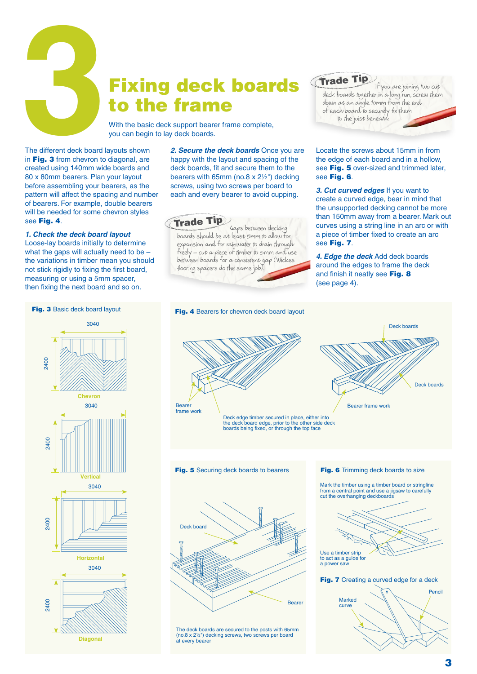

## to the frame

With the basic deck support bearer frame complete, you can begin to lay deck boards.

The different deck board layouts shown in Fig. 3 from chevron to diagonal, are created using 140mm wide boards and 80 x 80mm bearers. Plan your layout before assembling your bearers, as the pattern will affect the spacing and number of bearers. For example, double bearers will be needed for some chevron styles see Fig. 4.

#### **1. Check the deck board layout**

2400

2400

2400

2400

Loose-lay boards initially to determine what the gaps will actually need to be – the variations in timber mean you should not stick rigidly to fixing the first board. measuring or using a 5mm spacer, then fixing the next board and so on.

**2. Secure the deck boards** Once you are happy with the layout and spacing of the deck boards, fit and secure them to the bearers with 65mm (no.8 x 2½") decking screws, using two screws per board to each and every bearer to avoid cupping.



Gaps between decking boards should be at least 5mm to allow for expansion and for rainwater to drain through freely – cut a piece of timber to 5mm and use between boards for a consistent gap (Wickes flooring spacers do the same job).

#### Trade Tip

If you are joining two cut deck boards together in a long run, screw them down at an angle 10mm from the end of each board to securely fix them to the joist beneath.

Locate the screws about 15mm in from the edge of each board and in a hollow, see Fig. 5 over-sized and trimmed later, see Fig. 6.

**3. Cut curved edges** If you want to create a curved edge, bear in mind that the unsupported decking cannot be more than 150mm away from a bearer. Mark out curves using a string line in an arc or with a piece of timber fixed to create an arc see Fig. 7.

Deck boards

**4. Edge the deck** Add deck boards around the edges to frame the deck and finish it neatly see Fig. 8 (see page 4).



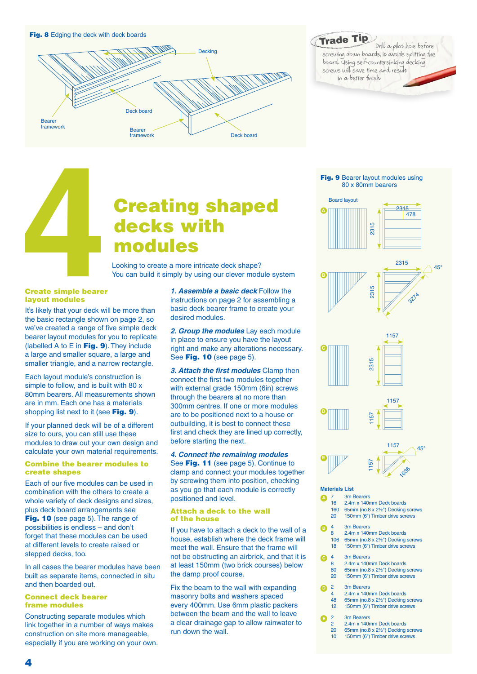

Drill a pilot hole before screwing down boards, it avoids splitting the board. Using self-countersinking decking screws will save time and result in a better finish. Trade Tip

# **4 Creating shaped<br>
<b>4 Creating**<br> **4 Creating shape?**<br> **4 Cooking to create a more intricate deck shape?<br>
You can build it simply by using our clever module syst<br>
<b>4 Create simple bearer**<br>
1. Assemble a basic dec decks with modules

Looking to create a more intricate deck shape? You can build it simply by using our clever module system

#### Create simple bearer layout modules

It's likely that your deck will be more than the basic rectangle shown on page 2, so we've created a range of five simple deck bearer layout modules for you to replicate (labelled A to E in  $Fig. 9$ ). They include a large and smaller square, a large and smaller triangle, and a narrow rectangle.

Each layout module's construction is simple to follow, and is built with 80 x 80mm bearers. All measurements shown are in mm. Each one has a materials shopping list next to it (see Fig. 9).

If your planned deck will be of a different size to ours, you can still use these modules to draw out your own design and calculate your own material requirements.

#### Combine the bearer modules to create shapes

Each of our five modules can be used in combination with the others to create a whole variety of deck designs and sizes, plus deck board arrangements see Fig. 10 (see page 5). The range of possibilities is endless – and don't forget that these modules can be used at different levels to create raised or stepped decks, too.

In all cases the bearer modules have been built as separate items, connected in situ and then boarded out.

#### Connect deck bearer frame modules

Constructing separate modules which link together in a number of ways makes construction on site more manageable, especially if you are working on your own.

**1. Assemble a basic deck** Follow the instructions on page 2 for assembling a basic deck bearer frame to create your desired modules.

**2. Group the modules** Lay each module in place to ensure you have the layout right and make any alterations necessary. See Fig. 10 (see page 5).

**3. Attach the first modules** Clamp then connect the first two modules together with external grade 150mm (6in) screws through the bearers at no more than 300mm centres. If one or more modules are to be positioned next to a house or outbuilding, it is best to connect these first and check they are lined up correctly, before starting the next.

**4. Connect the remaining modules**  See Fig. 11 (see page 5). Continue to clamp and connect your modules together by screwing them into position, checking as you go that each module is correctly positioned and level.

#### Attach a deck to the wall of the house

If you have to attach a deck to the wall of a house, establish where the deck frame will meet the wall. Ensure that the frame will not be obstructing an airbrick, and that it is at least 150mm (two brick courses) below the damp proof course.

Fix the beam to the wall with expanding masonry bolts and washers spaced every 400mm. Use 6mm plastic packers between the beam and the wall to leave a clear drainage gap to allow rainwater to run down the wall.













#### **Materials List**

**B**

**E**

- 7 3m Bearers<br>16  $2.4$ m x 140n
- 2.4m x 140mm Deck boards
- 160 65mm (no.8 x 2½") Decking screws
- 20 150mm (6") Timber drive screws

#### 4 3m Bearers

- 8 2.4m x 140mm Deck boards<br>106 65mm (no 8 x 2%") Decking
- 106 65mm (no.8 x  $2\frac{1}{2}$ ") Decking screws<br>18 150mm (6") Timber drive screws 150mm (6") Timber drive screws

#### 4 3m Bearers<br>8  $2.4$ m x 140 **C** 4

- 2.4m x 140mm Deck boards 80 65mm (no.8 x 2½") Decking screws 20 150mm (6") Timber drive screws
	- 3m Bearers
- 4 2.4m x 140mm Deck boards<br>48 65mm (no.8 x  $2\frac{1}{2}$ ") Decking **D**<sub>2</sub>
	- 65mm (no.8 x 21/2") Decking screws
	- 12 150mm (6") Timber drive screws
	- 2 3m Bearers
	- 2 2.4m x 140mm Deck boards
	- 20 65mm (no.8 x 2½") Decking screws
	- 10 150mm (6") Timber drive screws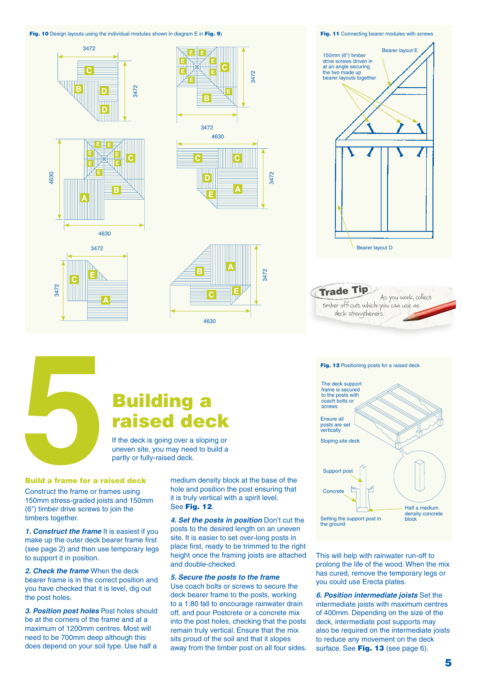#### Fig. 10 Design layouts using the individual modules shown in diagram E in Fig. 9) Fig. 11 Connecting bearer modules with screws







#### Fig. 12 Positioning posts for a raised deck



This will help with rainwater run-off to

prolong the life of the wood. When the mix has cured, remove the temporary legs or you could use Erecta plates.

**6. Position intermediate joists** Set the intermediate joists with maximum centres of 400mm. Depending on the size of the deck, intermediate post supports may also be required on the intermediate joists to reduce any movement on the deck surface. See Fig. 13 (see page 6).



### raised deck

If the deck is going over a sloping or uneven site, you may need to build a partly or fully-raised deck.

#### Build a frame for a raised deck

Construct the frame or frames using 150mm stress-graded joists and 150mm (6") timber drive screws to join the timbers together.

**1. Construct the frame** It is easiest if you make up the outer deck bearer frame first (see page 2) and then use temporary legs to support it in position.

**2. Check the frame** When the deck bearer frame is in the correct position and you have checked that it is level, dig out the post holes.

**3. Position post holes** Post holes should be at the corners of the frame and at a maximum of 1200mm centres. Most will need to be 700mm deep although this does depend on your soil type. Use half a

medium density block at the base of the hole and position the post ensuring that it is truly vertical with a spirit level. See Fig. 12.

3472

**4. Set the posts in position** Don't cut the posts to the desired length on an uneven site. It is easier to set over-long posts in place first, ready to be trimmed to the right height once the framing joists are attached and double-checked.

#### **5. Secure the posts to the frame**

Use coach bolts or screws to secure the deck bearer frame to the posts, working to a 1:80 fall to encourage rainwater drain off, and pour Postcrete or a concrete mix into the post holes, checking that the posts remain truly vertical. Ensure that the mix sits proud of the soil and that it slopes away from the timber post on all four sides.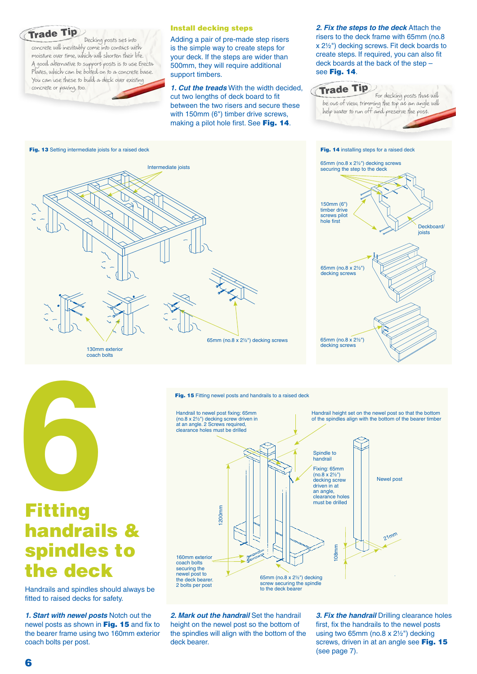#### Trade Tip

Decking posts set into concrete will inevitably come into contact with moisture over time, which will shorten their life. A good alternative to support posts is to use Erecta Plates, which can be bolted on to a concrete base. You can use these to build a deck over existing concrete or paving, too.

#### Install decking steps

Adding a pair of pre-made step risers is the simple way to create steps for your deck. If the steps are wider than 500mm, they will require additional support timbers.

**1. Cut the treads** With the width decided, cut two lengths of deck board to fit between the two risers and secure these with 150mm (6") timber drive screws, making a pilot hole first. See Fig. 14.

**2. Fix the steps to the deck** Attach the risers to the deck frame with 65mm (no.8 x 2½") decking screws. Fit deck boards to create steps. If required, you can also fit deck boards at the back of the step – see Fig. 14.

#### Trade Tip

For decking posts that will be out of view, trimming the top at an angle will help water to run off and preserve the post.





130mm exterior coach bolts





2. Mark out the handrail Set the handrail height on the newel post so the bottom of the spindles will align with the bottom of the deck bearer.

**3. Fix the handrail** Drilling clearance holes first, fix the handrails to the newel posts using two 65mm (no.8 x 2½") decking screws, driven in at an angle see Fig. 15 (see page 7).



### handrails & spindles to the deck

Handrails and spindles should always be fitted to raised decks for safety.

**1. Start with newel posts** Notch out the newel posts as shown in Fig. 15 and fix to the bearer frame using two 160mm exterior coach bolts per post.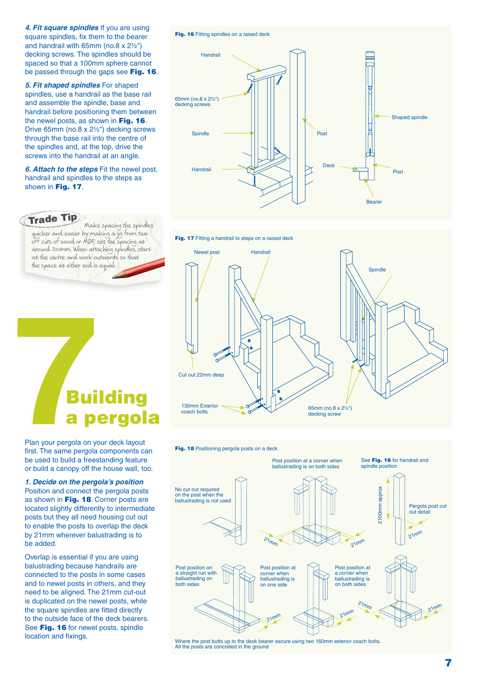**4. Fit square spindles** If you are using square spindles, fix them to the bearer and handrail with 65mm (no.8  $x$  2 $\frac{1}{2}$ ") decking screws. The spindles should be spaced so that a 100mm sphere cannot be passed through the gaps see Fig. 16.

**5. Fit shaped spindles** For shaped spindles, use a handrail as the base rail and assemble the spindle, base and handrail before positioning them between the newel posts, as shown in Fig. 16. Drive 65mm (no.8 x 2½") decking screws through the base rail into the centre of the spindles and, at the top, drive the screws into the handrail at an angle.

**6. Attach to the steps** Fit the newel post, handrail and spindles to the steps as shown in Fig. 17.

#### Trade Tip

Make spacing the spindles quicker and easier by making a jig from two off cuts of wood or MDF; set the spacing at around 100mm. When attaching spindles, start at the centre and work outwards so that the space at either end is equal.

# **7**<br>**7**Building<br>**7** Plan your pergola on your deck layout<br>first. The same pergola components ca pergola

Plan your pergola on your deck layout first. The same pergola components can be used to build a freestanding feature or build a canopy off the house wall, too.

**1. Decide on the pergola's position** Position and connect the pergola posts as shown in Fig. 18. Corner posts are located slightly differently to intermediate posts but they all need housing cut out to enable the posts to overlap the deck by 21mm wherever balustrading is to be added.

Overlap is essential if you are using balustrading because handrails are connected to the posts in some cases and to newel posts in others, and they need to be aligned. The 21mm cut-out is duplicated on the newel posts, while the square spindles are fitted directly to the outside face of the deck bearers. See Fig. 16 for newel posts, spindle location and fixings.

#### Fig. 16 Fitting spindles on a raised deck











Where the post butts up to the deck bearer secure using two 160mm exterior coach bolts. All the posts are concreted in the ground